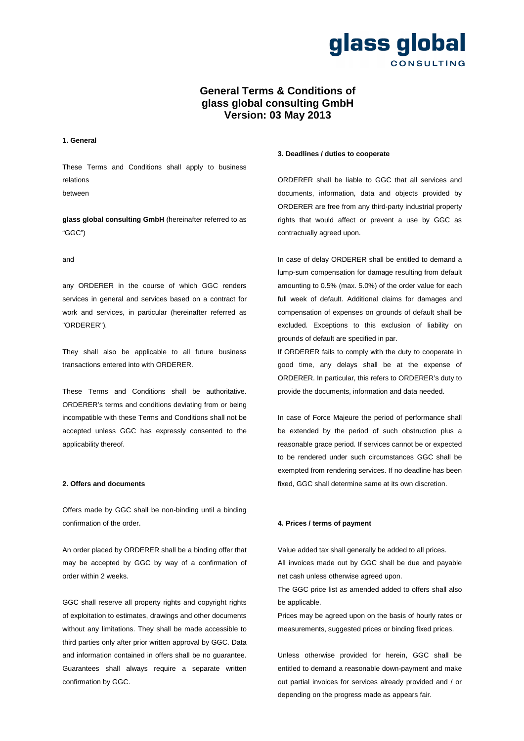

## **General Terms & Conditions of glass global consulting GmbH Version: 03 May 2013**

#### **1. General**

These Terms and Conditions shall apply to business relations

between

**glass global consulting GmbH** (hereinafter referred to as "GGC")

and

any ORDERER in the course of which GGC renders services in general and services based on a contract for work and services, in particular (hereinafter referred as "ORDERER").

They shall also be applicable to all future business transactions entered into with ORDERER.

These Terms and Conditions shall be authoritative. ORDERER's terms and conditions deviating from or being incompatible with these Terms and Conditions shall not be accepted unless GGC has expressly consented to the applicability thereof.

#### **2. Offers and documents**

Offers made by GGC shall be non-binding until a binding confirmation of the order.

An order placed by ORDERER shall be a binding offer that may be accepted by GGC by way of a confirmation of order within 2 weeks.

GGC shall reserve all property rights and copyright rights of exploitation to estimates, drawings and other documents without any limitations. They shall be made accessible to third parties only after prior written approval by GGC. Data and information contained in offers shall be no guarantee. Guarantees shall always require a separate written confirmation by GGC.

#### **3. Deadlines / duties to cooperate**

ORDERER shall be liable to GGC that all services and documents, information, data and objects provided by ORDERER are free from any third-party industrial property rights that would affect or prevent a use by GGC as contractually agreed upon.

In case of delay ORDERER shall be entitled to demand a lump-sum compensation for damage resulting from default amounting to 0.5% (max. 5.0%) of the order value for each full week of default. Additional claims for damages and compensation of expenses on grounds of default shall be excluded. Exceptions to this exclusion of liability on grounds of default are specified in par.

If ORDERER fails to comply with the duty to cooperate in good time, any delays shall be at the expense of ORDERER. In particular, this refers to ORDERER's duty to provide the documents, information and data needed.

In case of Force Majeure the period of performance shall be extended by the period of such obstruction plus a reasonable grace period. If services cannot be or expected to be rendered under such circumstances GGC shall be exempted from rendering services. If no deadline has been fixed, GGC shall determine same at its own discretion.

### **4. Prices / terms of payment**

Value added tax shall generally be added to all prices. All invoices made out by GGC shall be due and payable net cash unless otherwise agreed upon.

The GGC price list as amended added to offers shall also be applicable.

Prices may be agreed upon on the basis of hourly rates or measurements, suggested prices or binding fixed prices.

Unless otherwise provided for herein, GGC shall be entitled to demand a reasonable down-payment and make out partial invoices for services already provided and / or depending on the progress made as appears fair.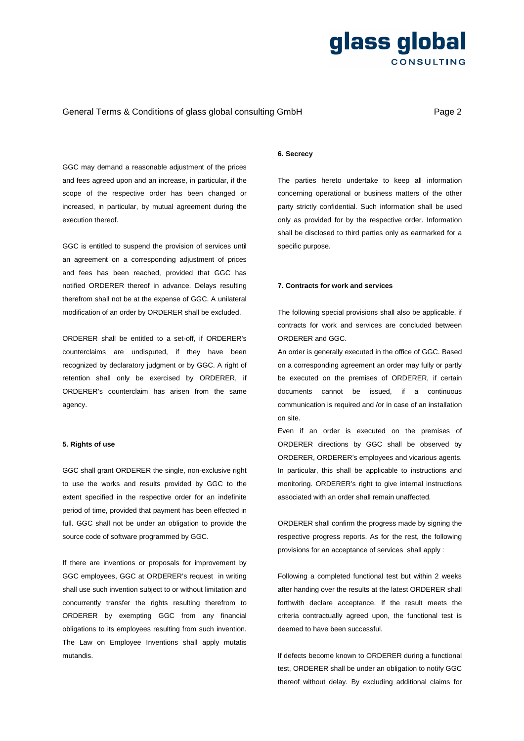## General Terms & Conditions of glass global consulting GmbH **Page 2** Page 2

GGC may demand a reasonable adjustment of the prices and fees agreed upon and an increase, in particular, if the scope of the respective order has been changed or increased, in particular, by mutual agreement during the execution thereof.

GGC is entitled to suspend the provision of services until an agreement on a corresponding adjustment of prices and fees has been reached, provided that GGC has notified ORDERER thereof in advance. Delays resulting therefrom shall not be at the expense of GGC. A unilateral modification of an order by ORDERER shall be excluded.

ORDERER shall be entitled to a set-off, if ORDERER's counterclaims are undisputed, if they have been recognized by declaratory judgment or by GGC. A right of retention shall only be exercised by ORDERER, if ORDERER's counterclaim has arisen from the same agency.

#### **5. Rights of use**

GGC shall grant ORDERER the single, non-exclusive right to use the works and results provided by GGC to the extent specified in the respective order for an indefinite period of time, provided that payment has been effected in full. GGC shall not be under an obligation to provide the source code of software programmed by GGC.

If there are inventions or proposals for improvement by GGC employees, GGC at ORDERER's request in writing shall use such invention subject to or without limitation and concurrently transfer the rights resulting therefrom to ORDERER by exempting GGC from any financial obligations to its employees resulting from such invention. The Law on Employee Inventions shall apply mutatis mutandis.

### **6. Secrecy**

The parties hereto undertake to keep all information concerning operational or business matters of the other party strictly confidential. Such information shall be used only as provided for by the respective order. Information shall be disclosed to third parties only as earmarked for a specific purpose.

#### **7. Contracts for work and services**

The following special provisions shall also be applicable, if contracts for work and services are concluded between ORDERER and GGC.

An order is generally executed in the office of GGC. Based on a corresponding agreement an order may fully or partly be executed on the premises of ORDERER, if certain documents cannot be issued, if a continuous communication is required and /or in case of an installation on site.

Even if an order is executed on the premises of ORDERER directions by GGC shall be observed by ORDERER, ORDERER's employees and vicarious agents. In particular, this shall be applicable to instructions and monitoring. ORDERER's right to give internal instructions associated with an order shall remain unaffected.

ORDERER shall confirm the progress made by signing the respective progress reports. As for the rest, the following provisions for an acceptance of services shall apply :

Following a completed functional test but within 2 weeks after handing over the results at the latest ORDERER shall forthwith declare acceptance. If the result meets the criteria contractually agreed upon, the functional test is deemed to have been successful.

If defects become known to ORDERER during a functional test, ORDERER shall be under an obligation to notify GGC thereof without delay. By excluding additional claims for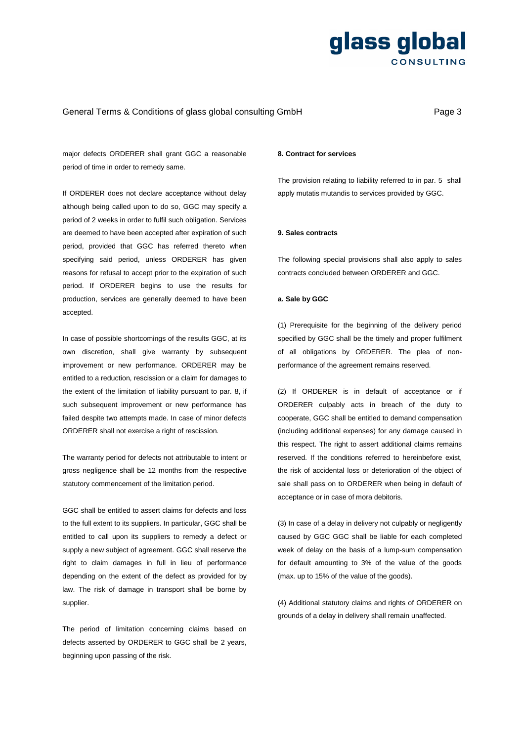## General Terms & Conditions of glass global consulting GmbH **Page 3** Page 3

major defects ORDERER shall grant GGC a reasonable period of time in order to remedy same.

If ORDERER does not declare acceptance without delay although being called upon to do so, GGC may specify a period of 2 weeks in order to fulfil such obligation. Services are deemed to have been accepted after expiration of such period, provided that GGC has referred thereto when specifying said period, unless ORDERER has given reasons for refusal to accept prior to the expiration of such period. If ORDERER begins to use the results for production, services are generally deemed to have been accepted.

In case of possible shortcomings of the results GGC, at its own discretion, shall give warranty by subsequent improvement or new performance. ORDERER may be entitled to a reduction, rescission or a claim for damages to the extent of the limitation of liability pursuant to par. 8, if such subsequent improvement or new performance has failed despite two attempts made. In case of minor defects ORDERER shall not exercise a right of rescission.

The warranty period for defects not attributable to intent or gross negligence shall be 12 months from the respective statutory commencement of the limitation period.

GGC shall be entitled to assert claims for defects and loss to the full extent to its suppliers. In particular, GGC shall be entitled to call upon its suppliers to remedy a defect or supply a new subject of agreement. GGC shall reserve the right to claim damages in full in lieu of performance depending on the extent of the defect as provided for by law. The risk of damage in transport shall be borne by supplier.

The period of limitation concerning claims based on defects asserted by ORDERER to GGC shall be 2 years, beginning upon passing of the risk.

#### **8. Contract for services**

The provision relating to liability referred to in par. 5 shall apply mutatis mutandis to services provided by GGC.

#### **9. Sales contracts**

The following special provisions shall also apply to sales contracts concluded between ORDERER and GGC.

#### **a. Sale by GGC**

(1) Prerequisite for the beginning of the delivery period specified by GGC shall be the timely and proper fulfilment of all obligations by ORDERER. The plea of nonperformance of the agreement remains reserved.

(2) If ORDERER is in default of acceptance or if ORDERER culpably acts in breach of the duty to cooperate, GGC shall be entitled to demand compensation (including additional expenses) for any damage caused in this respect. The right to assert additional claims remains reserved. If the conditions referred to hereinbefore exist, the risk of accidental loss or deterioration of the object of sale shall pass on to ORDERER when being in default of acceptance or in case of mora debitoris.

(3) In case of a delay in delivery not culpably or negligently caused by GGC GGC shall be liable for each completed week of delay on the basis of a lump-sum compensation for default amounting to 3% of the value of the goods (max. up to 15% of the value of the goods).

(4) Additional statutory claims and rights of ORDERER on grounds of a delay in delivery shall remain unaffected.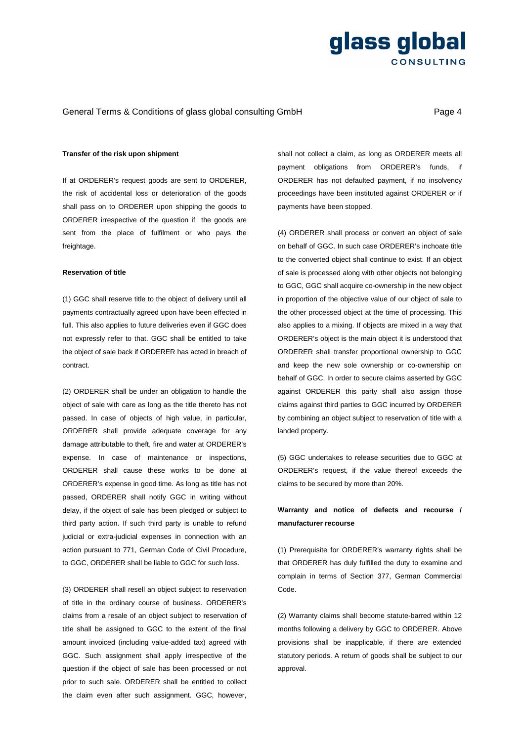## General Terms & Conditions of glass global consulting GmbH **Page 4** Page 4

### **Transfer of the risk upon shipment**

If at ORDERER's request goods are sent to ORDERER, the risk of accidental loss or deterioration of the goods shall pass on to ORDERER upon shipping the goods to ORDERER irrespective of the question if the goods are sent from the place of fulfilment or who pays the freightage.

### **Reservation of title**

(1) GGC shall reserve title to the object of delivery until all payments contractually agreed upon have been effected in full. This also applies to future deliveries even if GGC does not expressly refer to that. GGC shall be entitled to take the object of sale back if ORDERER has acted in breach of contract.

(2) ORDERER shall be under an obligation to handle the object of sale with care as long as the title thereto has not passed. In case of objects of high value, in particular, ORDERER shall provide adequate coverage for any damage attributable to theft, fire and water at ORDERER's expense. In case of maintenance or inspections, ORDERER shall cause these works to be done at ORDERER's expense in good time. As long as title has not passed, ORDERER shall notify GGC in writing without delay, if the object of sale has been pledged or subject to third party action. If such third party is unable to refund judicial or extra-judicial expenses in connection with an action pursuant to 771, German Code of Civil Procedure, to GGC, ORDERER shall be liable to GGC for such loss.

(3) ORDERER shall resell an object subject to reservation of title in the ordinary course of business. ORDERER's claims from a resale of an object subject to reservation of title shall be assigned to GGC to the extent of the final amount invoiced (including value-added tax) agreed with GGC. Such assignment shall apply irrespective of the question if the object of sale has been processed or not prior to such sale. ORDERER shall be entitled to collect the claim even after such assignment. GGC, however, shall not collect a claim, as long as ORDERER meets all payment obligations from ORDERER's funds, if ORDERER has not defaulted payment, if no insolvency proceedings have been instituted against ORDERER or if payments have been stopped.

(4) ORDERER shall process or convert an object of sale on behalf of GGC. In such case ORDERER's inchoate title to the converted object shall continue to exist. If an object of sale is processed along with other objects not belonging to GGC, GGC shall acquire co-ownership in the new object in proportion of the objective value of our object of sale to the other processed object at the time of processing. This also applies to a mixing. If objects are mixed in a way that ORDERER's object is the main object it is understood that ORDERER shall transfer proportional ownership to GGC and keep the new sole ownership or co-ownership on behalf of GGC. In order to secure claims asserted by GGC against ORDERER this party shall also assign those claims against third parties to GGC incurred by ORDERER by combining an object subject to reservation of title with a landed property.

(5) GGC undertakes to release securities due to GGC at ORDERER's request, if the value thereof exceeds the claims to be secured by more than 20%.

## **Warranty and notice of defects and recourse / manufacturer recourse**

(1) Prerequisite for ORDERER's warranty rights shall be that ORDERER has duly fulfilled the duty to examine and complain in terms of Section 377, German Commercial Code.

(2) Warranty claims shall become statute-barred within 12 months following a delivery by GGC to ORDERER. Above provisions shall be inapplicable, if there are extended statutory periods. A return of goods shall be subject to our approval.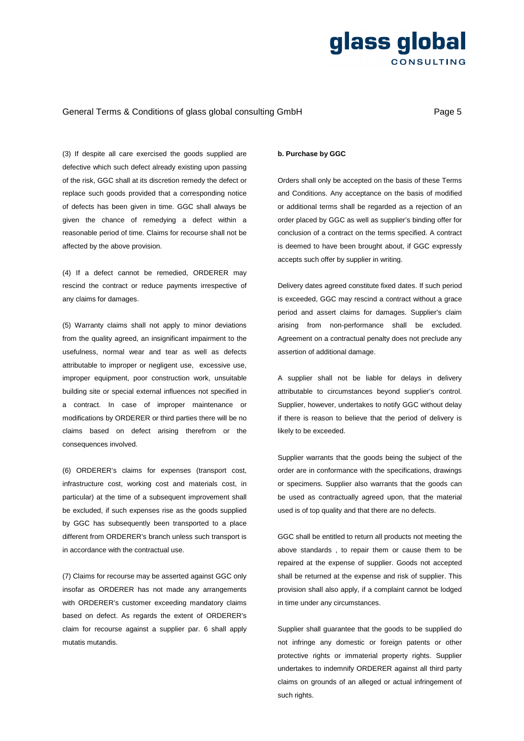## General Terms & Conditions of glass global consulting GmbH **Page 5** Page 5

(3) If despite all care exercised the goods supplied are defective which such defect already existing upon passing of the risk, GGC shall at its discretion remedy the defect or replace such goods provided that a corresponding notice of defects has been given in time. GGC shall always be given the chance of remedying a defect within a reasonable period of time. Claims for recourse shall not be affected by the above provision.

(4) If a defect cannot be remedied, ORDERER may rescind the contract or reduce payments irrespective of any claims for damages.

(5) Warranty claims shall not apply to minor deviations from the quality agreed, an insignificant impairment to the usefulness, normal wear and tear as well as defects attributable to improper or negligent use, excessive use, improper equipment, poor construction work, unsuitable building site or special external influences not specified in a contract. In case of improper maintenance or modifications by ORDERER or third parties there will be no claims based on defect arising therefrom or the consequences involved.

(6) ORDERER's claims for expenses (transport cost, infrastructure cost, working cost and materials cost, in particular) at the time of a subsequent improvement shall be excluded, if such expenses rise as the goods supplied by GGC has subsequently been transported to a place different from ORDERER's branch unless such transport is in accordance with the contractual use.

(7) Claims for recourse may be asserted against GGC only insofar as ORDERER has not made any arrangements with ORDERER's customer exceeding mandatory claims based on defect. As regards the extent of ORDERER's claim for recourse against a supplier par. 6 shall apply mutatis mutandis.

### **b. Purchase by GGC**

Orders shall only be accepted on the basis of these Terms and Conditions. Any acceptance on the basis of modified or additional terms shall be regarded as a rejection of an order placed by GGC as well as supplier's binding offer for conclusion of a contract on the terms specified. A contract is deemed to have been brought about, if GGC expressly accepts such offer by supplier in writing.

Delivery dates agreed constitute fixed dates. If such period is exceeded, GGC may rescind a contract without a grace period and assert claims for damages. Supplier's claim arising from non-performance shall be excluded. Agreement on a contractual penalty does not preclude any assertion of additional damage.

A supplier shall not be liable for delays in delivery attributable to circumstances beyond supplier's control. Supplier, however, undertakes to notify GGC without delay if there is reason to believe that the period of delivery is likely to be exceeded.

Supplier warrants that the goods being the subject of the order are in conformance with the specifications, drawings or specimens. Supplier also warrants that the goods can be used as contractually agreed upon, that the material used is of top quality and that there are no defects.

GGC shall be entitled to return all products not meeting the above standards , to repair them or cause them to be repaired at the expense of supplier. Goods not accepted shall be returned at the expense and risk of supplier. This provision shall also apply, if a complaint cannot be lodged in time under any circumstances.

Supplier shall guarantee that the goods to be supplied do not infringe any domestic or foreign patents or other protective rights or immaterial property rights. Supplier undertakes to indemnify ORDERER against all third party claims on grounds of an alleged or actual infringement of such rights.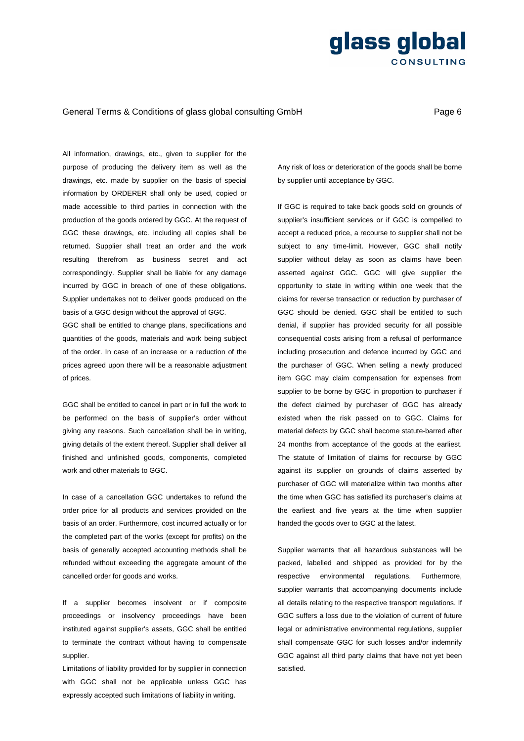## General Terms & Conditions of glass global consulting GmbH **Page 6** Page 6

All information, drawings, etc., given to supplier for the purpose of producing the delivery item as well as the drawings, etc. made by supplier on the basis of special information by ORDERER shall only be used, copied or made accessible to third parties in connection with the production of the goods ordered by GGC. At the request of GGC these drawings, etc. including all copies shall be returned. Supplier shall treat an order and the work resulting therefrom as business secret and act correspondingly. Supplier shall be liable for any damage incurred by GGC in breach of one of these obligations. Supplier undertakes not to deliver goods produced on the basis of a GGC design without the approval of GGC.

GGC shall be entitled to change plans, specifications and quantities of the goods, materials and work being subject of the order. In case of an increase or a reduction of the prices agreed upon there will be a reasonable adjustment of prices.

GGC shall be entitled to cancel in part or in full the work to be performed on the basis of supplier's order without giving any reasons. Such cancellation shall be in writing, giving details of the extent thereof. Supplier shall deliver all finished and unfinished goods, components, completed work and other materials to GGC.

In case of a cancellation GGC undertakes to refund the order price for all products and services provided on the basis of an order. Furthermore, cost incurred actually or for the completed part of the works (except for profits) on the basis of generally accepted accounting methods shall be refunded without exceeding the aggregate amount of the cancelled order for goods and works.

If a supplier becomes insolvent or if composite proceedings or insolvency proceedings have been instituted against supplier's assets, GGC shall be entitled to terminate the contract without having to compensate supplier.

Limitations of liability provided for by supplier in connection with GGC shall not be applicable unless GGC has expressly accepted such limitations of liability in writing.

Any risk of loss or deterioration of the goods shall be borne by supplier until acceptance by GGC.

If GGC is required to take back goods sold on grounds of supplier's insufficient services or if GGC is compelled to accept a reduced price, a recourse to supplier shall not be subject to any time-limit. However, GGC shall notify supplier without delay as soon as claims have been asserted against GGC. GGC will give supplier the opportunity to state in writing within one week that the claims for reverse transaction or reduction by purchaser of GGC should be denied. GGC shall be entitled to such denial, if supplier has provided security for all possible consequential costs arising from a refusal of performance including prosecution and defence incurred by GGC and the purchaser of GGC. When selling a newly produced item GGC may claim compensation for expenses from supplier to be borne by GGC in proportion to purchaser if the defect claimed by purchaser of GGC has already existed when the risk passed on to GGC. Claims for material defects by GGC shall become statute-barred after 24 months from acceptance of the goods at the earliest. The statute of limitation of claims for recourse by GGC against its supplier on grounds of claims asserted by purchaser of GGC will materialize within two months after the time when GGC has satisfied its purchaser's claims at the earliest and five years at the time when supplier handed the goods over to GGC at the latest.

Supplier warrants that all hazardous substances will be packed, labelled and shipped as provided for by the respective environmental regulations. Furthermore, supplier warrants that accompanying documents include all details relating to the respective transport regulations. If GGC suffers a loss due to the violation of current of future legal or administrative environmental regulations, supplier shall compensate GGC for such losses and/or indemnify GGC against all third party claims that have not yet been satisfied.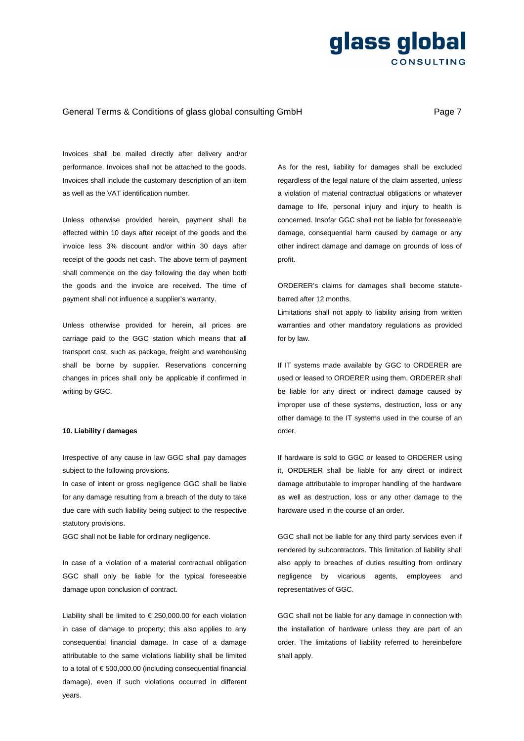## General Terms & Conditions of glass global consulting GmbH **Page 7** Page 7

Invoices shall be mailed directly after delivery and/or performance. Invoices shall not be attached to the goods. Invoices shall include the customary description of an item as well as the VAT identification number.

Unless otherwise provided herein, payment shall be effected within 10 days after receipt of the goods and the invoice less 3% discount and/or within 30 days after receipt of the goods net cash. The above term of payment shall commence on the day following the day when both the goods and the invoice are received. The time of payment shall not influence a supplier's warranty.

Unless otherwise provided for herein, all prices are carriage paid to the GGC station which means that all transport cost, such as package, freight and warehousing shall be borne by supplier. Reservations concerning changes in prices shall only be applicable if confirmed in writing by GGC.

### **10. Liability / damages**

Irrespective of any cause in law GGC shall pay damages subject to the following provisions.

In case of intent or gross negligence GGC shall be liable for any damage resulting from a breach of the duty to take due care with such liability being subject to the respective statutory provisions.

GGC shall not be liable for ordinary negligence.

In case of a violation of a material contractual obligation GGC shall only be liable for the typical foreseeable damage upon conclusion of contract.

Liability shall be limited to  $\epsilon$  250,000.00 for each violation in case of damage to property; this also applies to any consequential financial damage. In case of a damage attributable to the same violations liability shall be limited to a total of € 500,000.00 (including consequential financial damage), even if such violations occurred in different years.

As for the rest, liability for damages shall be excluded regardless of the legal nature of the claim asserted, unless a violation of material contractual obligations or whatever damage to life, personal injury and injury to health is concerned. Insofar GGC shall not be liable for foreseeable damage, consequential harm caused by damage or any other indirect damage and damage on grounds of loss of profit.

ORDERER's claims for damages shall become statutebarred after 12 months.

Limitations shall not apply to liability arising from written warranties and other mandatory regulations as provided for by law.

If IT systems made available by GGC to ORDERER are used or leased to ORDERER using them, ORDERER shall be liable for any direct or indirect damage caused by improper use of these systems, destruction, loss or any other damage to the IT systems used in the course of an order.

If hardware is sold to GGC or leased to ORDERER using it, ORDERER shall be liable for any direct or indirect damage attributable to improper handling of the hardware as well as destruction, loss or any other damage to the hardware used in the course of an order.

GGC shall not be liable for any third party services even if rendered by subcontractors. This limitation of liability shall also apply to breaches of duties resulting from ordinary negligence by vicarious agents, employees and representatives of GGC.

GGC shall not be liable for any damage in connection with the installation of hardware unless they are part of an order. The limitations of liability referred to hereinbefore shall apply.